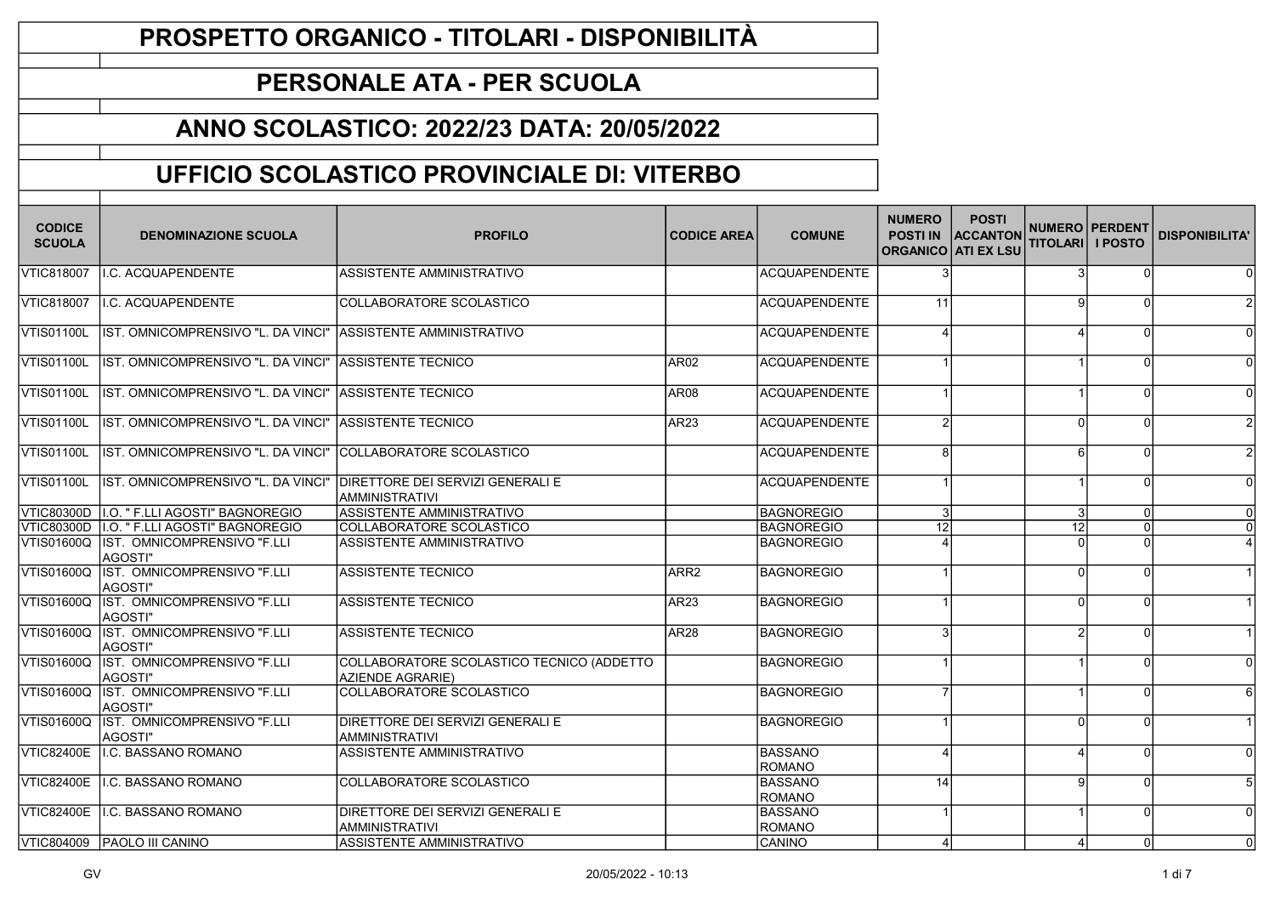### PERSONALE ATA - PER SCUOLA

#### ANNO SCOLASTICO: 2022/23 DATA: 20/05/2022

| <b>CODICE</b><br><b>SCUOLA</b> | <b>DENOMINAZIONE SCUOLA</b>                                         | <b>PROFILO</b>                                                       | <b>CODICE AREA</b> | <b>COMUNE</b>                   | <b>NUMERO</b>         | <b>POSTI</b><br>POSTI IN ACCANTON<br><b>ORGANICO ATI EX LSU</b> | TITOLARI I POSTO | NUMERO PERDENT | <b>DISPONIBILITA'</b> |
|--------------------------------|---------------------------------------------------------------------|----------------------------------------------------------------------|--------------------|---------------------------------|-----------------------|-----------------------------------------------------------------|------------------|----------------|-----------------------|
| VTIC818007                     | I.C. ACQUAPENDENTE                                                  | ASSISTENTE AMMINISTRATIVO                                            |                    | ACQUAPENDENTE                   |                       |                                                                 |                  |                | $\Omega$              |
| VTIC818007                     | I.C. ACQUAPENDENTE                                                  | COLLABORATORE SCOLASTICO                                             |                    | <b>ACQUAPENDENTE</b>            | 11                    |                                                                 | q                |                |                       |
| <b>VTIS01100L</b>              | IIST. OMNICOMPRENSIVO "L. DA VINCI"  ASSISTENTE AMMINISTRATIVO      |                                                                      |                    | <b>ACQUAPENDENTE</b>            |                       |                                                                 |                  |                | $\Omega$              |
| <b>VTIS01100L</b>              | IST. OMNICOMPRENSIVO "L. DA VINCI"                                  | <b>ASSISTENTE TECNICO</b>                                            | AR02               | <b>ACQUAPENDENTE</b>            |                       |                                                                 |                  |                | $\Omega$              |
| <b>VTIS01100L</b>              | IST. OMNICOMPRENSIVO "L. DA VINCI" ASSISTENTE TECNICO               |                                                                      | <b>AR08</b>        | <b>ACQUAPENDENTE</b>            |                       |                                                                 |                  |                |                       |
| <b>VTIS01100L</b>              | IST. OMNICOMPRENSIVO "L. DA VINCI" ASSISTENTE TECNICO               |                                                                      | <b>AR23</b>        | <b>ACQUAPENDENTE</b>            | $\mathfrak{p}$        |                                                                 | U                |                |                       |
| <b>VTIS01100L</b>              | IST. OMNICOMPRENSIVO "L. DA VINCI" COLLABORATORE SCOLASTICO         |                                                                      |                    | ACQUAPENDENTE                   | 8                     |                                                                 | $6 \mid$         |                |                       |
| <b>VTIS01100L</b>              | IST. OMNICOMPRENSIVO "L. DA VINCI" DIRETTORE DEI SERVIZI GENERALI E | <b>AMMINISTRATIVI</b>                                                |                    | <b>ACQUAPENDENTE</b>            |                       |                                                                 |                  |                | $\Omega$              |
|                                | VTIC80300D I.O. " F.LLI AGOSTI" BAGNOREGIO                          | ASSISTENTE AMMINISTRATIVO                                            |                    | <b>BAGNOREGIO</b>               | 3                     |                                                                 | 3                |                | $\Omega$              |
|                                | VTIC80300D   I.O. " F.LLI AGOSTI" BAGNOREGIO                        | COLLABORATORE SCOLASTICO                                             |                    | <b>BAGNOREGIO</b>               | 12                    |                                                                 | 12               |                | $\Omega$              |
|                                | VTIS01600Q IST. OMNICOMPRENSIVO "F.LLI<br>AGOSTI"                   | <b>ASSISTENTE AMMINISTRATIVO</b>                                     |                    | <b>BAGNOREGIO</b>               |                       |                                                                 |                  |                |                       |
| VTIS01600Q                     | IST. OMNICOMPRENSIVO "F.LLI<br>AGOSTI"                              | <b>ASSISTENTE TECNICO</b>                                            | ARR <sub>2</sub>   | BAGNOREGIO                      |                       |                                                                 | $\Omega$         |                |                       |
| VTIS01600Q                     | IST. OMNICOMPRENSIVO "F.LLI<br>AGOSTI"                              | <b>ASSISTENTE TECNICO</b>                                            | AR23               | <b>BAGNOREGIO</b>               |                       |                                                                 | $\Omega$         |                |                       |
| VTIS01600Q                     | IST. OMNICOMPRENSIVO "F.LLI<br>AGOSTI"                              | <b>ASSISTENTE TECNICO</b>                                            | AR <sub>28</sub>   | <b>BAGNOREGIO</b>               |                       |                                                                 |                  |                |                       |
| VTIS01600Q                     | IST. OMNICOMPRENSIVO "F.LLI<br>AGOSTI"                              | COLLABORATORE SCOLASTICO TECNICO (ADDETTO<br><b>AZIENDE AGRARIE)</b> |                    | BAGNOREGIO                      |                       |                                                                 |                  |                |                       |
| VTIS01600Q                     | IST. OMNICOMPRENSIVO "F.LLI<br>AGOSTI"                              | COLLABORATORE SCOLASTICO                                             |                    | <b>BAGNOREGIO</b>               |                       |                                                                 |                  |                | ĥ                     |
| VTIS01600Q                     | IST. OMNICOMPRENSIVO "F.LLI<br>AGOSTI"                              | DIRETTORE DEI SERVIZI GENERALI E<br><b>AMMINISTRATIVI</b>            |                    | <b>BAGNOREGIO</b>               |                       |                                                                 | $\Omega$         |                |                       |
| <b>VTIC82400E</b>              | <b>I.C. BASSANO ROMANO</b>                                          | <b>ASSISTENTE AMMINISTRATIVO</b>                                     |                    | <b>BASSANO</b><br><b>ROMANO</b> |                       |                                                                 |                  |                |                       |
| <b>VTIC82400E</b>              | I.C. BASSANO ROMANO                                                 | COLLABORATORE SCOLASTICO                                             |                    | BASSANO<br>ROMANO               | 14                    |                                                                 | q                |                |                       |
| <b>VTIC82400E</b>              | I.C. BASSANO ROMANO                                                 | DIRETTORE DEI SERVIZI GENERALI E<br><b>AMMINISTRATIVI</b>            |                    | <b>BASSANO</b><br><b>ROMANO</b> |                       |                                                                 |                  |                |                       |
|                                | VTIC804009 PAOLO III CANINO                                         | ASSISTENTE AMMINISTRATIVO                                            |                    | CANINO                          | $\boldsymbol{\Delta}$ |                                                                 |                  | $\Omega$       | $\overline{0}$        |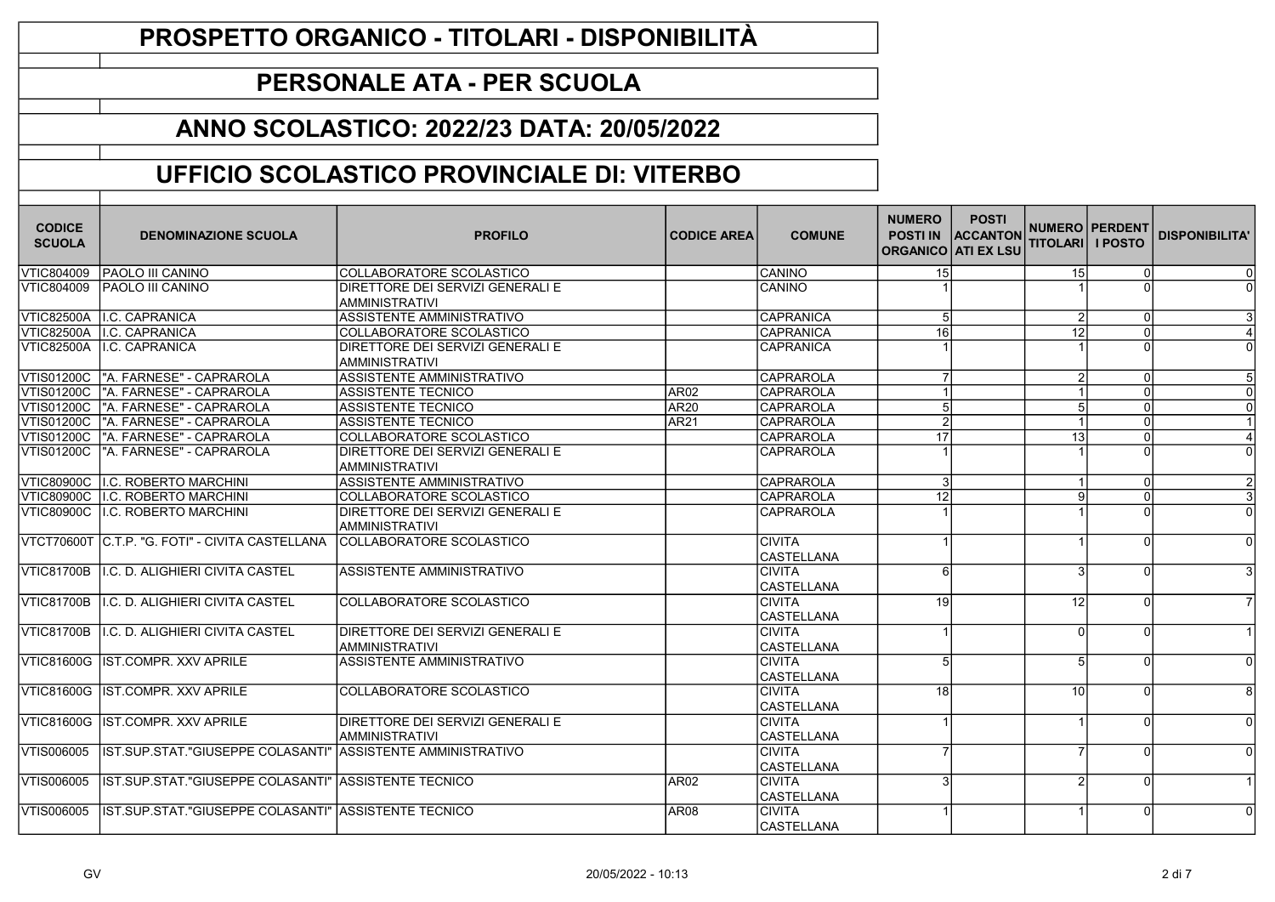### PERSONALE ATA - PER SCUOLA

### ANNO SCOLASTICO: 2022/23 DATA: 20/05/2022

| <b>CODICE</b><br><b>SCUOLA</b> | <b>DENOMINAZIONE SCUOLA</b>                                   | <b>PROFILO</b>                                                   | <b>CODICE AREA</b> | <b>COMUNE</b>                      | <b>NUMERO</b><br><b>POSTI IN</b><br><b>ORGANICO ATI EX LSU</b> | <b>POSTI</b><br><b>ACCANTON</b> | NUMERO PERDENT<br><b>TITOLARI I POSTO</b> |              | <b>DISPONIBILITA'</b> |
|--------------------------------|---------------------------------------------------------------|------------------------------------------------------------------|--------------------|------------------------------------|----------------------------------------------------------------|---------------------------------|-------------------------------------------|--------------|-----------------------|
| VTIC804009                     | <b>PAOLO III CANINO</b>                                       | COLLABORATORE SCOLASTICO                                         |                    | ICANINO                            | 15                                                             |                                 | 15                                        |              |                       |
| VTIC804009                     | <b>PAOLO III CANINO</b>                                       | <b>DIRETTORE DEI SERVIZI GENERALI E</b><br><b>AMMINISTRATIVI</b> |                    | <b>CANINO</b>                      |                                                                |                                 |                                           |              |                       |
|                                | VTIC82500A I.C. CAPRANICA                                     | ASSISTENTE AMMINISTRATIVO                                        |                    | CAPRANICA                          | 5                                                              |                                 | 2                                         |              |                       |
|                                | VTIC82500A I.C. CAPRANICA                                     | <b>COLLABORATORE SCOLASTICO</b>                                  |                    | <b>CAPRANICA</b>                   | 16                                                             |                                 | 12                                        | <sup>n</sup> |                       |
|                                | VTIC82500A I.C. CAPRANICA                                     | DIRETTORE DEI SERVIZI GENERALI E<br><b>AMMINISTRATIVI</b>        |                    | <b>CAPRANICA</b>                   |                                                                |                                 |                                           |              |                       |
|                                | VTIS01200C   "A. FARNESE" - CAPRAROLA                         | ASSISTENTE AMMINISTRATIVO                                        |                    | ICAPRAROLA                         |                                                                |                                 |                                           | ∩            |                       |
|                                | VTIS01200C   "A. FARNESE" - CAPRAROLA                         | <b>ASSISTENTE TECNICO</b>                                        | AR02               | ICAPRAROLA                         |                                                                |                                 |                                           |              | $\Omega$              |
|                                | VTIS01200C   "A. FARNESE" - CAPRAROLA                         | <b>ASSISTENTE TECNICO</b>                                        | AR <sub>20</sub>   | CAPRAROLA                          | 5                                                              |                                 |                                           |              | $\Omega$              |
|                                | VTIS01200C   "A. FARNESE" - CAPRAROLA                         | <b>ASSISTENTE TECNICO</b>                                        | AR <sub>21</sub>   | CAPRAROLA                          | $\overline{2}$                                                 |                                 |                                           |              |                       |
|                                | VTIS01200C   "A. FARNESE" - CAPRAROLA                         | COLLABORATORE SCOLASTICO                                         |                    | CAPRAROLA                          | 17                                                             |                                 | 13                                        | ∩            |                       |
| <b>VTIS01200C</b>              | "A. FARNESE" - CAPRAROLA                                      | DIRETTORE DEI SERVIZI GENERALI E<br><b>AMMINISTRATIVI</b>        |                    | CAPRAROLA                          |                                                                |                                 |                                           |              |                       |
|                                | VTIC80900C II.C. ROBERTO MARCHINI                             | <b>ASSISTENTE AMMINISTRATIVO</b>                                 |                    | ICAPRAROLA                         | 3                                                              |                                 |                                           | <sup>n</sup> | $\overline{2}$        |
|                                | VTIC80900C II.C. ROBERTO MARCHINI                             | <b>COLLABORATORE SCOLASTICO</b>                                  |                    | ICAPRAROLA                         | 12                                                             |                                 | q                                         |              |                       |
|                                | VTIC80900C I.C. ROBERTO MARCHINI                              | DIRETTORE DEI SERVIZI GENERALI E<br><b>AMMINISTRATIVI</b>        |                    | <b>CAPRAROLA</b>                   |                                                                |                                 |                                           |              |                       |
|                                | VTCT70600T C.T.P. "G. FOTI" - CIVITA CASTELLANA               | COLLABORATORE SCOLASTICO                                         |                    | <b>CIVITA</b><br><b>CASTELLANA</b> |                                                                |                                 |                                           |              | $\Omega$              |
| <b>VTIC81700B</b>              | ILC. D. ALIGHIERI CIVITA CASTEL                               | ASSISTENTE AMMINISTRATIVO                                        |                    | <b>CIVITA</b><br><b>CASTELLANA</b> | 6                                                              |                                 | 3                                         |              |                       |
|                                | VTIC81700B   I.C. D. ALIGHIERI CIVITA CASTEL                  | COLLABORATORE SCOLASTICO                                         |                    | <b>CIVITA</b><br><b>CASTELLANA</b> | 19                                                             |                                 | 12                                        |              |                       |
|                                | VTIC81700B   I.C. D. ALIGHIERI CIVITA CASTEL                  | <b>DIRETTORE DEI SERVIZI GENERALI E</b><br><b>AMMINISTRATIVI</b> |                    | <b>CIVITA</b><br><b>CASTELLANA</b> |                                                                |                                 | U                                         |              |                       |
|                                | VTIC81600G IST.COMPR. XXV APRILE                              | ASSISTENTE AMMINISTRATIVO                                        |                    | <b>CIVITA</b><br><b>CASTELLANA</b> | 5                                                              |                                 | 5                                         |              | $\Omega$              |
|                                | VTIC81600G IST.COMPR. XXV APRILE                              | COLLABORATORE SCOLASTICO                                         |                    | <b>CIVITA</b><br><b>CASTELLANA</b> | 18                                                             |                                 | 10                                        |              | 8                     |
|                                | VTIC81600G IST.COMPR. XXV APRILE                              | DIRETTORE DEI SERVIZI GENERALI E<br><b>AMMINISTRATIVI</b>        |                    | <b>CIVITA</b><br><b>CASTELLANA</b> |                                                                |                                 |                                           |              |                       |
| VTIS006005                     | IST.SUP.STAT."GIUSEPPE COLASANTI"   ASSISTENTE AMMINISTRATIVO |                                                                  |                    | <b>CIVITA</b><br><b>CASTELLANA</b> |                                                                |                                 |                                           |              | $\Omega$              |
| VTIS006005                     | IST.SUP.STAT."GIUSEPPE COLASANTI" ASSISTENTE TECNICO          |                                                                  | AR <sub>02</sub>   | <b>CIVITA</b><br>ICASTELLANA       | 3                                                              |                                 |                                           |              |                       |
| VTIS006005                     | IST.SUP.STAT."GIUSEPPE COLASANTI" IASSISTENTE TECNICO         |                                                                  | AR <sub>08</sub>   | <b>CIVITA</b><br><b>CASTELLANA</b> |                                                                |                                 |                                           |              | $\Omega$              |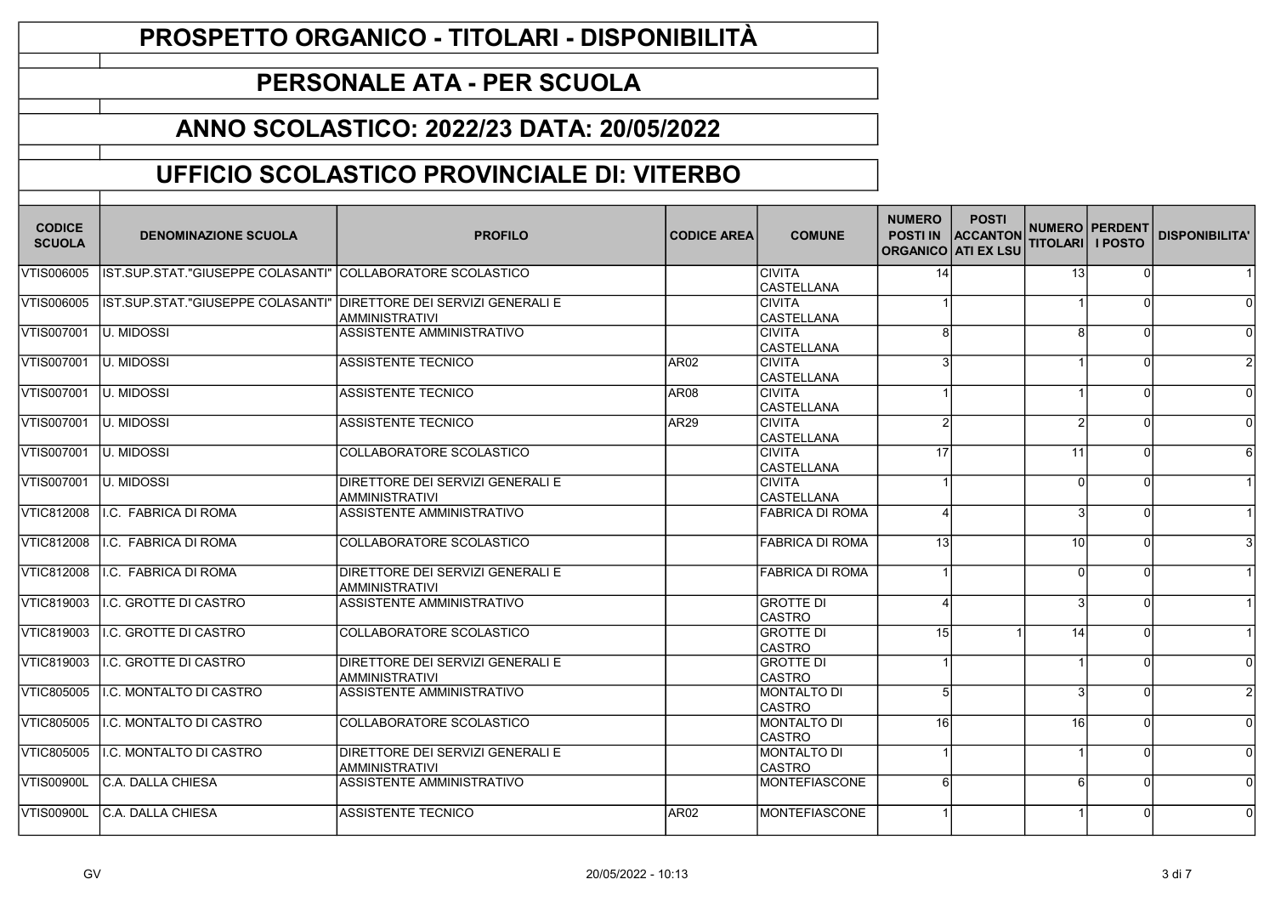### PERSONALE ATA - PER SCUOLA

#### ANNO SCOLASTICO: 2022/23 DATA: 20/05/2022

| <b>CODICE</b><br><b>SCUOLA</b> | <b>DENOMINAZIONE SCUOLA</b>                                          | <b>PROFILO</b>                                                   | <b>CODICE AREA</b> | <b>COMUNE</b>                      | <b>NUMERO</b><br><b>POSTI IN</b><br>ORGANICO ATI EX LSU | <b>POSTI</b><br><b>ACCANTON</b> | NUMERO PERDENT<br><b>TITOLARI I POSTO</b> |   | <b>DISPONIBILITA'</b> |
|--------------------------------|----------------------------------------------------------------------|------------------------------------------------------------------|--------------------|------------------------------------|---------------------------------------------------------|---------------------------------|-------------------------------------------|---|-----------------------|
| VTIS006005                     | IST.SUP.STAT."GIUSEPPE COLASANTI"   COLLABORATORE SCOLASTICO         |                                                                  |                    | <b>CIVITA</b><br>ICASTELLANA       | 14                                                      |                                 | 13                                        |   |                       |
| VTIS006005                     | IIST.SUP.STAT."GIUSEPPE COLASANTI"  DIRETTORE DEI SERVIZI GENERALI E | <b>AMMINISTRATIVI</b>                                            |                    | <b>CIVITA</b><br><i>CASTELLANA</i> |                                                         |                                 |                                           |   | $\Omega$              |
| VTIS007001 U. MIDOSSI          |                                                                      | ASSISTENTE AMMINISTRATIVO                                        |                    | <b>CIVITA</b><br><b>CASTELLANA</b> | 8l                                                      |                                 | 8                                         |   | $\Omega$              |
| VTIS007001 U. MIDOSSI          |                                                                      | <b>ASSISTENTE TECNICO</b>                                        | AR <sub>02</sub>   | ICIVITA<br>ICASTELLANA             | 3                                                       |                                 |                                           | ∩ | $\mathfrak{p}$        |
| VTIS007001                     | <b>U. MIDOSSI</b>                                                    | <b>ASSISTENTE TECNICO</b>                                        | AR <sub>08</sub>   | <b>CIVITA</b><br>ICASTELLANA       |                                                         |                                 |                                           |   | $\Omega$              |
| VTIS007001                     | U. MIDOSSI                                                           | <b>ASSISTENTE TECNICO</b>                                        | AR <sub>29</sub>   | <b>CIVITA</b><br>ICASTELLANA       | $\mathfrak{p}$                                          |                                 | 2                                         |   | $\Omega$              |
| VTIS007001                     | <b>U. MIDOSSI</b>                                                    | COLLABORATORE SCOLASTICO                                         |                    | <b>CIVITA</b><br>ICASTELLANA       | 17                                                      |                                 | 11                                        |   | 6                     |
| VTIS007001                     | U. MIDOSSI                                                           | DIRETTORE DEI SERVIZI GENERALI E<br>AMMINISTRATIVI               |                    | ICIVITA<br>ICASTELLANA             |                                                         |                                 | n                                         |   |                       |
| VTIC812008                     | I.C. FABRICA DI ROMA                                                 | <b>ASSISTENTE AMMINISTRATIVO</b>                                 |                    | FABRICA DI ROMA                    | $\boldsymbol{\Lambda}$                                  |                                 | 3                                         | ∩ |                       |
| <b>VTIC812008</b>              | <b>I.C. FABRICA DI ROMA</b>                                          | COLLABORATORE SCOLASTICO                                         |                    | <b>FABRICA DI ROMA</b>             | $\overline{13}$                                         |                                 | 10                                        |   |                       |
| <b>VTIC812008</b>              | I.C. FABRICA DI ROMA                                                 | <b>DIRETTORE DEI SERVIZI GENERALI E</b><br><b>AMMINISTRATIVI</b> |                    | <b>FABRICA DI ROMA</b>             |                                                         |                                 | $\Omega$                                  |   |                       |
| VTIC819003                     | II.C. GROTTE DI CASTRO                                               | <b>ASSISTENTE AMMINISTRATIVO</b>                                 |                    | <b>GROTTE DI</b><br><b>CASTRO</b>  |                                                         |                                 | 3                                         |   |                       |
| VTIC819003                     | I.C. GROTTE DI CASTRO                                                | COLLABORATORE SCOLASTICO                                         |                    | <b>GROTTE DI</b><br><b>CASTRO</b>  | 15                                                      |                                 | 14                                        |   |                       |
| VTIC819003                     | I.C. GROTTE DI CASTRO                                                | DIRETTORE DEI SERVIZI GENERALI E<br>AMMINISTRATIVI               |                    | <b>GROTTE DI</b><br><b>CASTRO</b>  |                                                         |                                 |                                           |   | $\Omega$              |
| VTIC805005                     | II.C. MONTALTO DI CASTRO                                             | ASSISTENTE AMMINISTRATIVO                                        |                    | IMONTALTO DI<br>ICASTRO            | 5                                                       |                                 | 3                                         |   | $\mathcal{P}$         |
| <b>VTIC805005</b>              | II.C. MONTALTO DI CASTRO                                             | <b>COLLABORATORE SCOLASTICO</b>                                  |                    | <b>MONTALTO DI</b><br>ICASTRO      | 16                                                      |                                 | 16                                        | ∩ | $\Omega$              |
| VTIC805005                     | I.C. MONTALTO DI CASTRO                                              | <b>DIRETTORE DEI SERVIZI GENERALI E</b><br>AMMINISTRATIVI        |                    | <b>MONTALTO DI</b><br>ICASTRO      |                                                         |                                 |                                           |   | $\Omega$              |
| <b>VTIS00900L</b>              | C.A. DALLA CHIESA                                                    | ASSISTENTE AMMINISTRATIVO                                        |                    | <b>MONTEFIASCONE</b>               | 6l                                                      |                                 | ี                                         |   | $\Omega$              |
| <b>VTIS00900L</b>              | <b>C.A. DALLA CHIESA</b>                                             | ASSISTENTE TECNICO                                               | AR <sub>02</sub>   | <b>MONTEFIASCONE</b>               |                                                         |                                 |                                           |   |                       |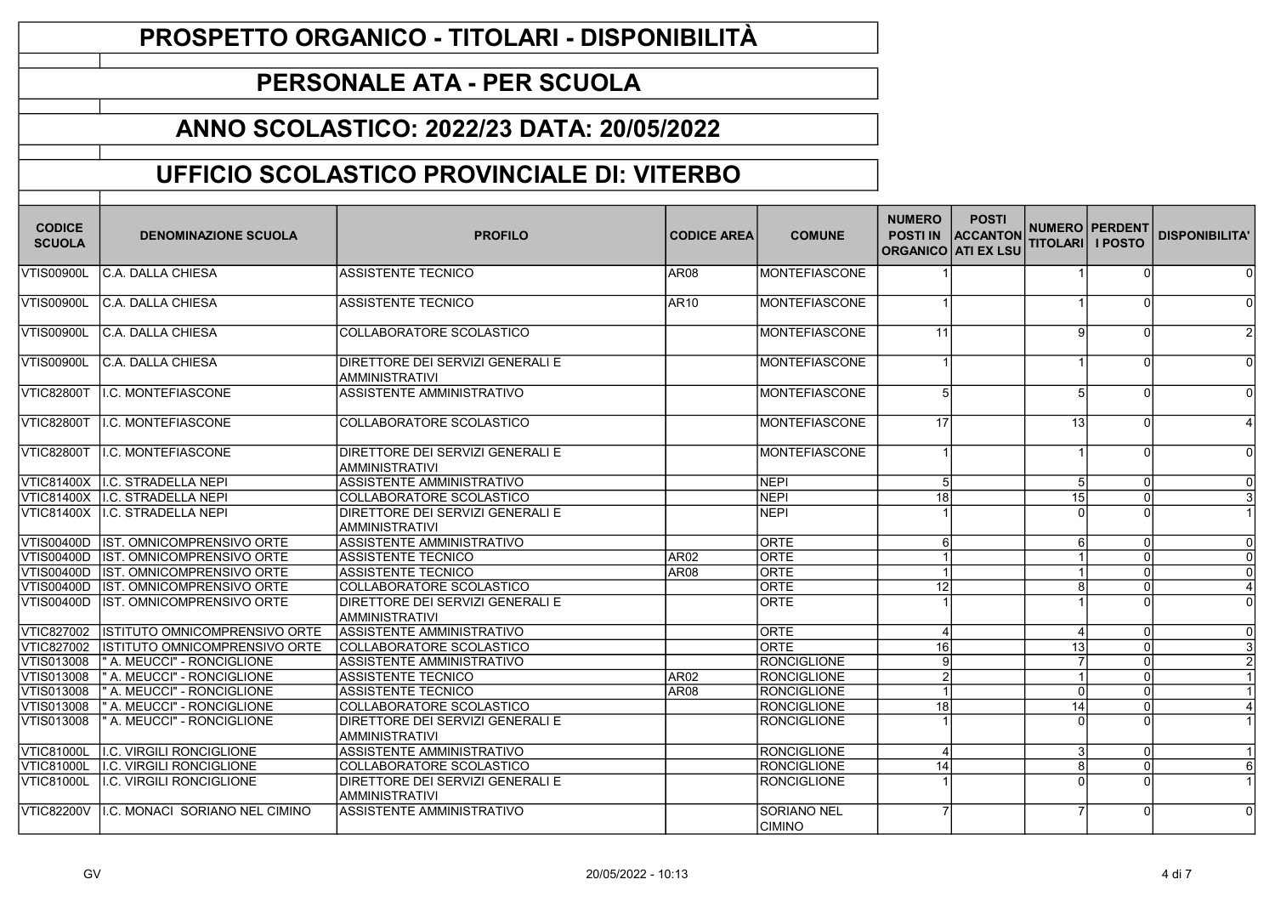### PERSONALE ATA - PER SCUOLA

#### ANNO SCOLASTICO: 2022/23 DATA: 20/05/2022

| <b>CODICE</b><br><b>SCUOLA</b> | <b>DENOMINAZIONE SCUOLA</b>          | <b>PROFILO</b>                                                     | <b>CODICE AREA</b> | <b>COMUNE</b>                       | <b>NUMERO</b><br><b>ORGANICO ATI EX LSU</b> | <b>POSTI</b><br><b>POSTI IN ACCANTON</b> | TITOLARI I POSTO | <b>NUMERO PERDENT</b> | <b>DISPONIBILITA'</b> |
|--------------------------------|--------------------------------------|--------------------------------------------------------------------|--------------------|-------------------------------------|---------------------------------------------|------------------------------------------|------------------|-----------------------|-----------------------|
| <b>VTIS00900L</b>              | C.A. DALLA CHIESA                    | ASSISTENTE TECNICO                                                 | AR <sub>08</sub>   | <b>MONTEFIASCONE</b>                |                                             |                                          |                  |                       |                       |
| <b>VTIS00900L</b>              | <b>C.A. DALLA CHIESA</b>             | IASSISTENTE TECNICO                                                | <b>AR10</b>        | <b>IMONTEFIASCONE</b>               |                                             |                                          |                  |                       | $\Omega$              |
| <b>VTIS00900L</b>              | C.A. DALLA CHIESA                    | COLLABORATORE SCOLASTICO                                           |                    | <b>MONTEFIASCONE</b>                | 11                                          |                                          | $\mathsf{Q}$     |                       |                       |
| <b>VTIS00900L</b>              | C.A. DALLA CHIESA                    | DIRETTORE DEI SERVIZI GENERALI E<br>AMMINISTRATIVI                 |                    | <b>MONTEFIASCONE</b>                |                                             |                                          |                  | ∩                     | $\Omega$              |
| <b>VTIC82800T</b>              | <b>I.C. MONTEFIASCONE</b>            | ASSISTENTE AMMINISTRATIVO                                          |                    | <b>MONTEFIASCONE</b>                | 5                                           |                                          | 51               |                       | <sup>0</sup>          |
| <b>VTIC82800T</b>              | I.C. MONTEFIASCONE                   | <b>COLLABORATORE SCOLASTICO</b>                                    |                    | <b>MONTEFIASCONE</b>                | 17                                          |                                          | 13               |                       |                       |
| <b>VTIC82800T</b>              | I.C. MONTEFIASCONE                   | <b>IDIRETTORE DEI SERVIZI GENERALI E</b><br>IAMMINISTRATIVI        |                    | <b>MONTEFIASCONE</b>                |                                             |                                          |                  |                       | <sup>0</sup>          |
|                                | VTIC81400X   I.C. STRADELLA NEPI     | ASSISTENTE AMMINISTRATIVO                                          |                    | <b>NEPI</b>                         | 5                                           |                                          | 5 <sup>1</sup>   |                       | $\Omega$              |
|                                | VTIC81400X I.C. STRADELLA NEPI       | <b>COLLABORATORE SCOLASTICO</b>                                    |                    | <b>NEPI</b>                         | 18                                          |                                          | 15               |                       |                       |
|                                | VTIC81400X   I.C. STRADELLA NEPI     | <b>DIRETTORE DEI SERVIZI GENERALI E</b><br>AMMINISTRATIVI          |                    | <b>NEPI</b>                         |                                             |                                          | U                |                       |                       |
|                                | VTIS00400D IST. OMNICOMPRENSIVO ORTE | ASSISTENTE AMMINISTRATIVO                                          |                    | <b>ORTE</b>                         | 6                                           |                                          | $6 \mid$         | n                     | $\Omega$              |
|                                | VTIS00400D IST. OMNICOMPRENSIVO ORTE | <b>ASSISTENTE TECNICO</b>                                          | AR <sub>02</sub>   | <b>ORTE</b>                         | $\overline{1}$                              |                                          |                  |                       | $\Omega$              |
|                                | VTIS00400D IST. OMNICOMPRENSIVO ORTE | <b>ASSISTENTE TECNICO</b>                                          | AR <sub>08</sub>   | <b>ORTE</b>                         | $\overline{\mathbf{1}}$                     |                                          |                  |                       | $\Omega$              |
| <b>VTIS00400D</b>              | <b>IST. OMNICOMPRENSIVO ORTE</b>     | COLLABORATORE SCOLASTICO                                           |                    | <b>ORTE</b>                         | 12                                          |                                          | 8                |                       |                       |
| <b>VTIS00400D</b>              | IST. OMNICOMPRENSIVO ORTE            | DIRETTORE DEI SERVIZI GENERALI E<br>AMMINISTRATIVI                 |                    | <b>ORTE</b>                         |                                             |                                          |                  |                       |                       |
| <b>VTIC827002</b>              | <b>ISTITUTO OMNICOMPRENSIVO ORTE</b> | <b>ASSISTENTE AMMINISTRATIVO</b>                                   |                    | <b>ORTE</b>                         | $\Delta$                                    |                                          |                  |                       | $\Omega$              |
| VTIC827002                     | ISTITUTO OMNICOMPRENSIVO ORTE        | <b>COLLABORATORE SCOLASTICO</b>                                    |                    | <b>ORTE</b>                         | 16                                          |                                          | 13               |                       |                       |
| VTIS013008                     | " A. MEUCCI" - RONCIGLIONE           | <b>ASSISTENTE AMMINISTRATIVO</b>                                   |                    | RONCIGLIONE                         | $\mathbf{Q}$                                |                                          |                  |                       |                       |
| VTIS013008                     | " A. MEUCCI" - RONCIGLIONE           | <b>ASSISTENTE TECNICO</b>                                          | AR <sub>02</sub>   | <b>RONCIGLIONE</b>                  | $\mathfrak{p}$                              |                                          |                  |                       |                       |
| VTIS013008                     | " A. MEUCCI" - RONCIGLIONE           | ASSISTENTE TECNICO                                                 | AR <sub>08</sub>   | RONCIGLIONE                         | $\overline{\mathbf{1}}$                     |                                          | $\Omega$         |                       |                       |
| VTIS013008                     | " A. MEUCCI" - RONCIGLIONE           | COLLABORATORE SCOLASTICO                                           |                    | RONCIGLIONE                         | 18                                          |                                          | 14               | ∩                     |                       |
| VTIS013008                     | A. MEUCCI" - RONCIGLIONE             | <b>IDIRETTORE DEI SERVIZI GENERALI E</b><br><b>IAMMINISTRATIVI</b> |                    | <b>RONCIGLIONE</b>                  |                                             |                                          |                  |                       |                       |
| <b>VTIC81000L</b>              | I.C. VIRGILI RONCIGLIONE             | ASSISTENTE AMMINISTRATIVO                                          |                    | RONCIGLIONE                         | $\overline{4}$                              |                                          | $\overline{3}$   | n                     |                       |
| VTIC81000L                     | I.C. VIRGILI RONCIGLIONE             | COLLABORATORE SCOLASTICO                                           |                    | <b>RONCIGLIONE</b>                  | 14                                          |                                          | 8 <sup>1</sup>   | ∩                     | 6                     |
| VTIC81000L                     | I.C. VIRGILI RONCIGLIONE             | IDIRETTORE DEI SERVIZI GENERALI E<br>AMMINISTRATIVI                |                    | RONCIGLIONE                         |                                             |                                          |                  |                       |                       |
| <b>VTIC82200V</b>              | II.C. MONACI SORIANO NEL CIMINO      | ASSISTENTE AMMINISTRATIVO                                          |                    | <b>SORIANO NEL</b><br><b>CIMINO</b> |                                             |                                          |                  |                       | $\Omega$              |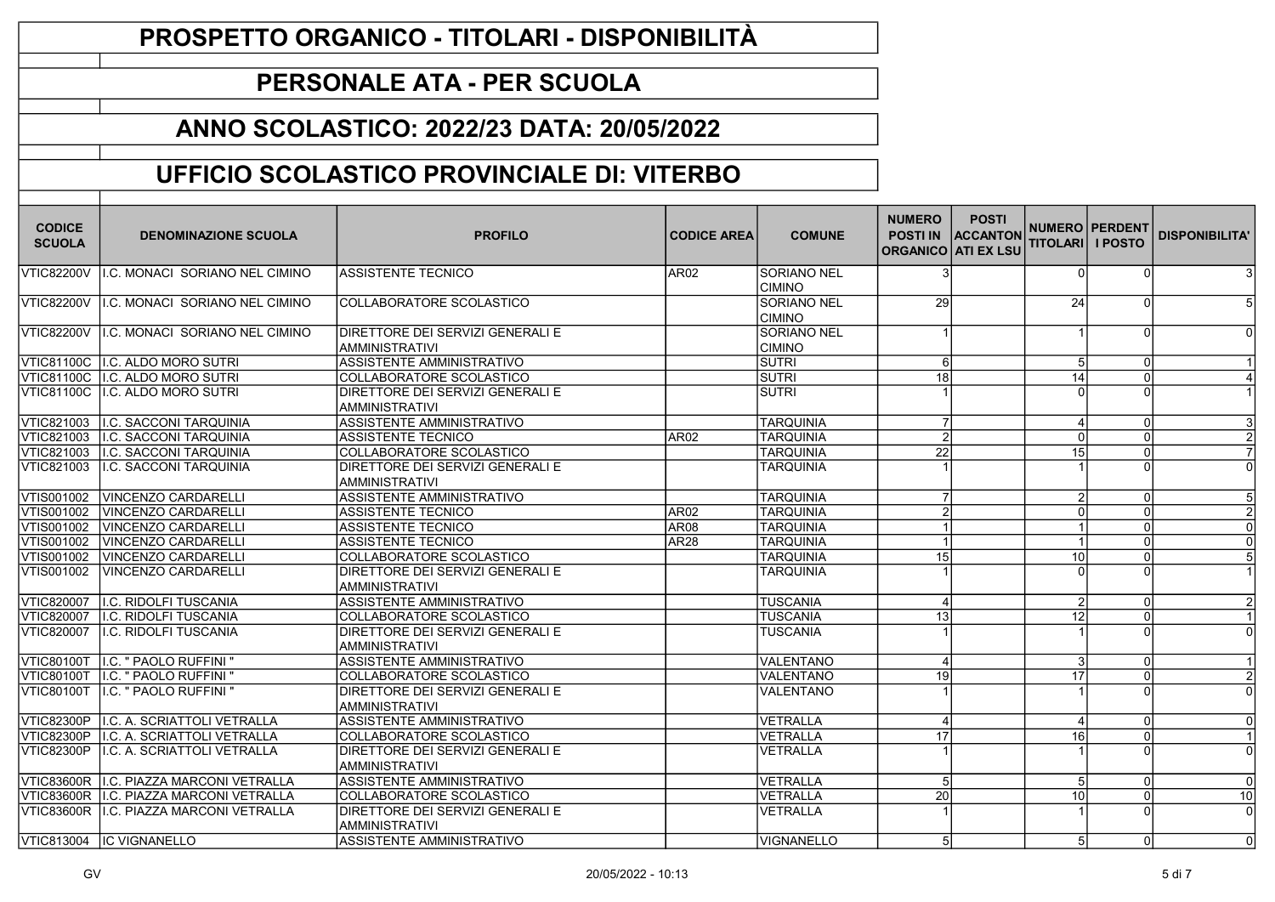### PERSONALE ATA - PER SCUOLA

#### ANNO SCOLASTICO: 2022/23 DATA: 20/05/2022

| <b>CODICE</b><br><b>SCUOLA</b> | <b>DENOMINAZIONE SCUOLA</b>               | <b>PROFILO</b>                                                   | <b>CODICE AREA</b> | <b>COMUNE</b>                       | <b>NUMERO</b><br><b>ORGANICO ATI EX LSU</b> | <b>POSTI</b><br>POSTI IN ACCANTON | <b>TITOLARI I POSTO</b> | <b>NUMERO PERDENT</b> | <b>DISPONIBILITA'</b> |
|--------------------------------|-------------------------------------------|------------------------------------------------------------------|--------------------|-------------------------------------|---------------------------------------------|-----------------------------------|-------------------------|-----------------------|-----------------------|
| <b>VTIC82200V</b>              | I.C. MONACI SORIANO NEL CIMINO            | <b>ASSISTENTE TECNICO</b>                                        | AR <sub>02</sub>   | <b>SORIANO NEL</b><br><b>CIMINO</b> |                                             |                                   |                         |                       |                       |
| <b>VTIC82200V</b>              | I.C. MONACI SORIANO NEL CIMINO            | COLLABORATORE SCOLASTICO                                         |                    | <b>SORIANO NEL</b><br><b>CIMINO</b> | 29                                          |                                   | 24                      |                       |                       |
| <b>VTIC82200V</b>              | I.C. MONACI SORIANO NEL CIMINO            | DIRETTORE DEI SERVIZI GENERALI E<br><b>AMMINISTRATIVI</b>        |                    | SORIANO NEL<br><b>CIMINO</b>        |                                             |                                   |                         |                       | $\Omega$              |
|                                | VTIC81100C   I.C. ALDO MORO SUTRI         | ASSISTENTE AMMINISTRATIVO                                        |                    | <b>SUTRI</b>                        | 6                                           |                                   | 5 <sup>1</sup>          | n                     |                       |
|                                | VTIC81100C II.C. ALDO MORO SUTRI          | COLLABORATORE SCOLASTICO                                         |                    | <b>SUTRI</b>                        | 18                                          |                                   | 14                      | U                     |                       |
|                                | VTIC81100C II.C. ALDO MORO SUTRI          | DIRETTORE DEI SERVIZI GENERALI E<br><b>AMMINISTRATIVI</b>        |                    | <b>SUTRI</b>                        |                                             |                                   |                         |                       |                       |
| VTIC821003                     | I.C. SACCONI TARQUINIA                    | <b>ASSISTENTE AMMINISTRATIVO</b>                                 |                    | <b>TARQUINIA</b>                    |                                             |                                   |                         | n                     |                       |
| VTIC821003                     | I.C. SACCONI TARQUINIA                    | <b>ASSISTENTE TECNICO</b>                                        | AR <sub>02</sub>   | <b>TARQUINIA</b>                    | $\overline{2}$                              |                                   | $\Omega$                |                       |                       |
| VTIC821003                     | <b>I.C. SACCONI TARQUINIA</b>             | <b>COLLABORATORE SCOLASTICO</b>                                  |                    | <b>TARQUINIA</b>                    | $\overline{22}$                             |                                   | 15                      | $\Omega$              |                       |
| VTIC821003                     | II.C. SACCONI TARQUINIA                   | DIRETTORE DEI SERVIZI GENERALI E<br><b>AMMINISTRATIVI</b>        |                    | <b>TARQUINIA</b>                    |                                             |                                   |                         |                       |                       |
| VTIS001002                     | <b>VINCENZO CARDARELLI</b>                | <b>ASSISTENTE AMMINISTRATIVO</b>                                 |                    | <b>TARQUINIA</b>                    | 7                                           |                                   | $\overline{2}$          |                       | 5                     |
| VTIS001002                     | VINCENZO CARDARELLI                       | <b>ASSISTENTE TECNICO</b>                                        | AR02               | <b>TARQUINIA</b>                    | $\overline{2}$                              |                                   | $\Omega$                |                       | $\overline{c}$        |
| VTIS001002                     | <b>VINCENZO CARDARELLI</b>                | <b>ASSISTENTE TECNICO</b>                                        | AR <sub>08</sub>   | <b>TARQUINIA</b>                    | $\overline{1}$                              |                                   |                         |                       | $\overline{0}$        |
| VTIS001002                     | VINCENZO CARDARELLI                       | <b>ASSISTENTE TECNICO</b>                                        | AR <sub>28</sub>   | <b>TARQUINIA</b>                    | $\vert$ 1                                   |                                   |                         |                       | $\Omega$              |
| VTIS001002                     | <b>VINCENZO CARDARELLI</b>                | <b>COLLABORATORE SCOLASTICO</b>                                  |                    | <b>TARQUINIA</b>                    | 15                                          |                                   | 10 <sup>1</sup>         |                       |                       |
| VTIS001002                     | VINCENZO CARDARELLI                       | <b>DIRETTORE DEI SERVIZI GENERALI E</b><br><b>AMMINISTRATIVI</b> |                    | <b>TARQUINIA</b>                    |                                             |                                   |                         |                       |                       |
| VTIC820007                     | I.C. RIDOLFI TUSCANIA                     | ASSISTENTE AMMINISTRATIVO                                        |                    | <b>TUSCANIA</b>                     | $\overline{4}$                              |                                   | $\overline{2}$          | n                     |                       |
| VTIC820007                     | <b>I.C. RIDOLFI TUSCANIA</b>              | COLLABORATORE SCOLASTICO                                         |                    | <b>TUSCANIA</b>                     | 13                                          |                                   | 12                      | U                     |                       |
| VTIC820007                     | <b>II.C. RIDOLFI TUSCANIA</b>             | DIRETTORE DEI SERVIZI GENERALI E<br>AMMINISTRATIVI               |                    | <b>TUSCANIA</b>                     |                                             |                                   |                         |                       |                       |
| <b>VTIC80100T</b>              | II.C. " PAOLO RUFFINI "                   | ASSISTENTE AMMINISTRATIVO                                        |                    | <b>VALENTANO</b>                    | $\boldsymbol{\Delta}$                       |                                   | 3                       |                       |                       |
| <b>VTIC80100T</b>              | I.C. " PAOLO RUFFINI "                    | <b>COLLABORATORE SCOLASTICO</b>                                  |                    | <b>VALENTANO</b>                    | 19                                          |                                   | 17                      | ∩                     |                       |
| <b>VTIC80100T</b>              | I.C. " PAOLO RUFFINI "                    | <b>DIRETTORE DEI SERVIZI GENERALI E</b><br><b>AMMINISTRATIVI</b> |                    | <b>VALENTANO</b>                    |                                             |                                   |                         |                       |                       |
| <b>VTIC82300P</b>              | I.C. A. SCRIATTOLI VETRALLA               | ASSISTENTE AMMINISTRATIVO                                        |                    | <b>VETRALLA</b>                     | $\overline{4}$                              |                                   |                         |                       | $\Omega$              |
| <b>VTIC82300P</b>              | I.C. A. SCRIATTOLI VETRALLA               | COLLABORATORE SCOLASTICO                                         |                    | <b>VETRALLA</b>                     | 17                                          |                                   | 16                      | $\Omega$              |                       |
| VTIC82300P                     | II.C. A. SCRIATTOLI VETRALLA              | IDIRETTORE DEI SERVIZI GENERALI E<br><b>AMMINISTRATIVI</b>       |                    | <b>VETRALLA</b>                     |                                             |                                   |                         |                       |                       |
|                                | VTIC83600R   I.C. PIAZZA MARCONI VETRALLA | <b>ASSISTENTE AMMINISTRATIVO</b>                                 |                    | <b>VETRALLA</b>                     | 5                                           |                                   | 5 <sub>l</sub>          |                       | $\Omega$              |
|                                | VTIC83600R II.C. PIAZZA MARCONI VETRALLA  | COLLABORATORE SCOLASTICO                                         |                    | VETRALLA                            | 20                                          |                                   | 10 <sup>1</sup>         | ∩                     | 10                    |
|                                | VTIC83600R   I.C. PIAZZA MARCONI VETRALLA | DIRETTORE DEI SERVIZI GENERALI E<br><b>AMMINISTRATIVI</b>        |                    | <b>VETRALLA</b>                     |                                             |                                   |                         |                       |                       |
|                                | VTIC813004 IC VIGNANELLO                  | ASSISTENTE AMMINISTRATIVO                                        |                    | VIGNANELLO                          | 5 <sup>1</sup>                              |                                   | 5 <sup>1</sup>          | $\Omega$              | $\overline{0}$        |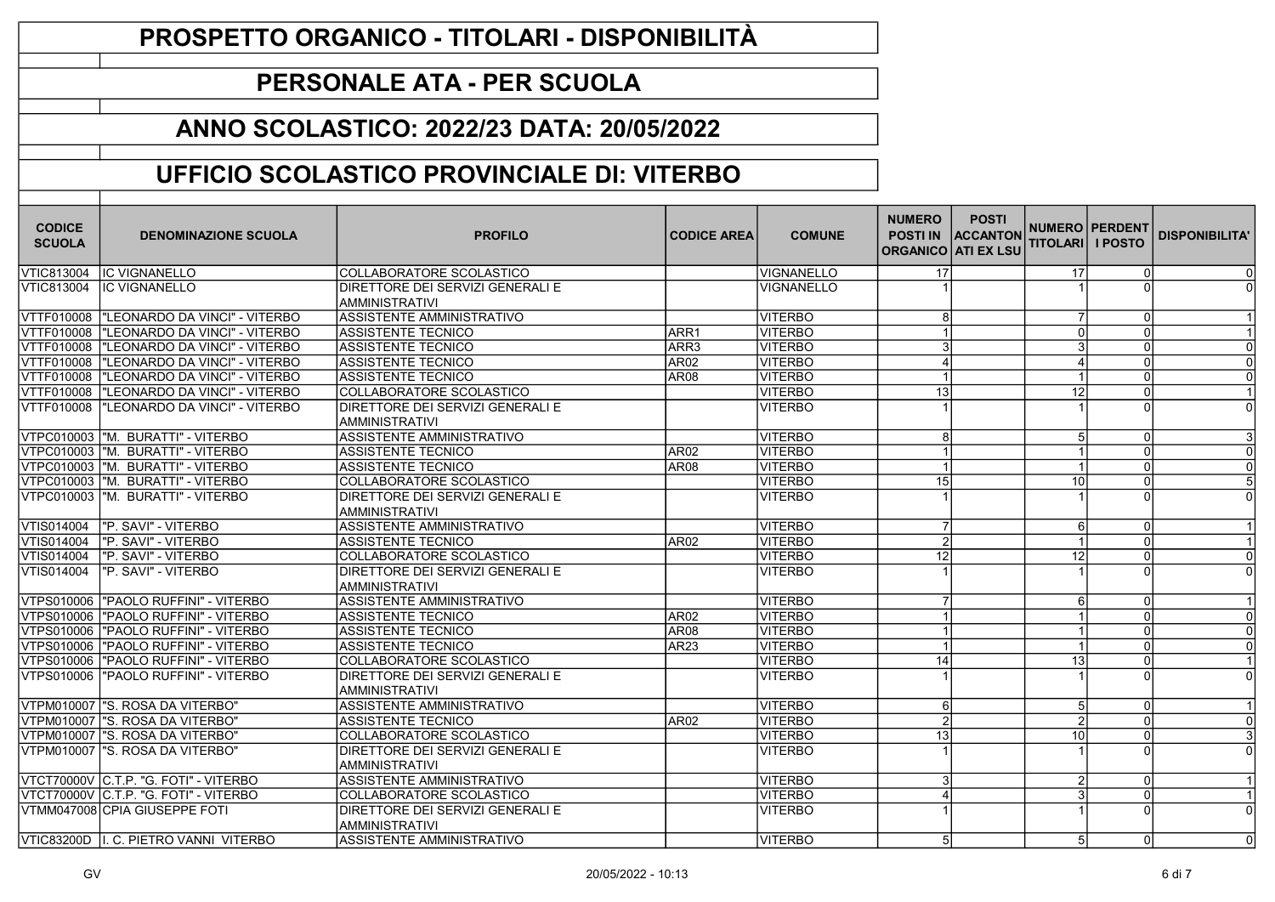### PERSONALE ATA - PER SCUOLA

#### ANNO SCOLASTICO: 2022/23 DATA: 20/05/2022

| <b>CODICE</b><br><b>SCUOLA</b> | <b>DENOMINAZIONE SCUOLA</b>                | <b>PROFILO</b>                                            | <b>CODICE AREA</b> | <b>COMUNE</b>     | <b>NUMERO</b><br><b>ORGANICO ATI EX LSU</b> | <b>POSTI</b><br>POSTI IN ACCANTON | <b>TITOLARI I POSTO</b> | <b>NUMERO PERDENT</b> | <b>DISPONIBILITA</b> |
|--------------------------------|--------------------------------------------|-----------------------------------------------------------|--------------------|-------------------|---------------------------------------------|-----------------------------------|-------------------------|-----------------------|----------------------|
| VTIC813004                     | <b>IC VIGNANELLO</b>                       | COLLABORATORE SCOLASTICO                                  |                    | VIGNANELLO        | 17 <sup>1</sup>                             |                                   | 17                      |                       |                      |
| VTIC813004                     | <b>IC VIGNANELLO</b>                       | DIRETTORE DEI SERVIZI GENERALI E<br><b>AMMINISTRATIVI</b> |                    | <b>VIGNANELLO</b> |                                             |                                   |                         |                       |                      |
|                                | VTTF010008  "LEONARDO DA VINCI" - VITERBO  | ASSISTENTE AMMINISTRATIVO                                 |                    | <b>VITERBO</b>    | 8                                           |                                   |                         |                       |                      |
|                                | VTTF010008   "LEONARDO DA VINCI" - VITERBO | <b>ASSISTENTE TECNICO</b>                                 | ARR1               | <b>VITERBO</b>    |                                             |                                   | <sup>o</sup>            |                       |                      |
|                                | VTTF010008   "LEONARDO DA VINCI" - VITERBO | <b>ASSISTENTE TECNICO</b>                                 | ARR <sub>3</sub>   | <b>VITERBO</b>    | 3                                           |                                   |                         |                       |                      |
|                                | VTTF010008  "LEONARDO DA VINCI" - VITERBO  | <b>ASSISTENTE TECNICO</b>                                 | AR <sub>02</sub>   | <b>VITERBO</b>    | 4                                           |                                   |                         |                       | $\Omega$             |
|                                | VTTF010008  "LEONARDO DA VINCI" - VITERBO  | <b>ASSISTENTE TECNICO</b>                                 | <b>AR08</b>        | <b>VITERBO</b>    | -1                                          |                                   |                         | n                     |                      |
|                                | VTTF010008   "LEONARDO DA VINCI" - VITERBO | COLLABORATORE SCOLASTICO                                  |                    | <b>VITERBO</b>    | 13                                          |                                   | 12                      |                       |                      |
| VTTF010008                     | "LEONARDO DA VINCI" - VITERBO              | DIRETTORE DEI SERVIZI GENERALI E<br>AMMINISTRATIVI        |                    | <b>VITERBO</b>    |                                             |                                   |                         |                       |                      |
|                                | VTPC010003   "M. BURATTI" - VITERBO        | ASSISTENTE AMMINISTRATIVO                                 |                    | VITERBO           | 8                                           |                                   | 5                       |                       |                      |
|                                | VTPC010003   "M. BURATTI" - VITERBO        | <b>ASSISTENTE TECNICO</b>                                 | AR02               | <b>IVITERBO</b>   | $\overline{ }$                              |                                   |                         |                       | $\Omega$             |
|                                | VTPC010003   "M. BURATTI" - VITERBO        | <b>ASSISTENTE TECNICO</b>                                 | AR08               | <b>VITERBO</b>    | $\overline{1}$                              |                                   |                         |                       |                      |
|                                | VTPC010003  "M. BURATTI" - VITERBO         | COLLABORATORE SCOLASTICO                                  |                    | <b>VITERBO</b>    | 15                                          |                                   | 10 <sup>1</sup>         | $\Omega$              |                      |
|                                | VTPC010003  "M. BURATTI" - VITERBO         | DIRETTORE DEI SERVIZI GENERALI E<br><b>AMMINISTRATIVI</b> |                    | <b>VITERBO</b>    | $\overline{1}$                              |                                   |                         |                       |                      |
| VTIS014004                     | I''P. SAVI" - VITERBO                      | <b>ASSISTENTE AMMINISTRATIVO</b>                          |                    | <b>VITERBO</b>    | $\overline{7}$                              |                                   | $6 \mid$                |                       |                      |
| VTIS014004                     | TP. SAVI" - VITERBO                        | <b>ASSISTENTE TECNICO</b>                                 | AR02               | <b>VITERBO</b>    | $\overline{2}$                              |                                   |                         | $\Omega$              |                      |
| VTIS014004                     | I"P. SAVI" - VITERBO                       | COLLABORATORE SCOLASTICO                                  |                    | <b>VITERBO</b>    | 12                                          |                                   | 12                      |                       |                      |
| VTIS014004                     | I"P. SAVI" - VITERBO                       | DIRETTORE DEI SERVIZI GENERALI E<br><b>AMMINISTRATIVI</b> |                    | <b>VITERBO</b>    |                                             |                                   |                         |                       |                      |
|                                | VTPS010006   "PAOLO RUFFINI" - VITERBO     | ASSISTENTE AMMINISTRATIVO                                 |                    | <b>VITERBO</b>    |                                             |                                   | 61                      |                       |                      |
|                                | VTPS010006   "PAOLO RUFFINI" - VITERBO     | <b>ASSISTENTE TECNICO</b>                                 | <b>AR02</b>        | <b>VITERBO</b>    |                                             |                                   |                         |                       |                      |
|                                | VTPS010006   "PAOLO RUFFINI" - VITERBO     | <b>ASSISTENTE TECNICO</b>                                 | AR <sub>08</sub>   | <b>VITERBO</b>    |                                             |                                   |                         |                       | $\Omega$             |
|                                | VTPS010006   "PAOLO RUFFINI" - VITERBO     | <b>ASSISTENTE TECNICO</b>                                 | AR23               | <b>VITERBO</b>    | $\overline{\mathbf{1}}$                     |                                   |                         |                       | $\Omega$             |
|                                | VTPS010006   "PAOLO RUFFINI" - VITERBO     | COLLABORATORE SCOLASTICO                                  |                    | <b>VITERBO</b>    | 14                                          |                                   | 13                      | U                     |                      |
|                                | VTPS010006   "PAOLO RUFFINI" - VITERBO     | DIRETTORE DEI SERVIZI GENERALI E<br><b>AMMINISTRATIVI</b> |                    | <b>VITERBO</b>    |                                             |                                   |                         |                       |                      |
|                                | VTPM010007   "S. ROSA DA VITERBO"          | <b>ASSISTENTE AMMINISTRATIVO</b>                          |                    | <b>VITERBO</b>    | 6                                           |                                   | 5                       | ∩                     |                      |
|                                | VTPM010007  "S. ROSA DA VITERBO"           | <b>ASSISTENTE TECNICO</b>                                 | <b>AR02</b>        | <b>VITERBO</b>    | $\overline{2}$                              |                                   | $\mathfrak{p}$          |                       |                      |
|                                | VTPM010007   "S. ROSA DA VITERBO"          | <b>COLLABORATORE SCOLASTICO</b>                           |                    | <b>VITERBO</b>    | 13                                          |                                   | 10 <sup>1</sup>         | $\Omega$              |                      |
|                                | VTPM010007   "S. ROSA DA VITERBO"          | DIRETTORE DEI SERVIZI GENERALI E<br>AMMINISTRATIVI        |                    | <b>VITERBO</b>    |                                             |                                   |                         |                       |                      |
|                                | VTCT70000V C.T.P. "G. FOTI" - VITERBO      | ASSISTENTE AMMINISTRATIVO                                 |                    | <b>VITERBO</b>    | 3                                           |                                   | $\overline{2}$          |                       |                      |
|                                | VTCT70000V C.T.P. "G. FOTI" - VITERBO      | COLLABORATORE SCOLASTICO                                  |                    | <b>VITERBO</b>    | $\overline{4}$                              |                                   | 3                       | $\Omega$              |                      |
|                                | VTMM047008 CPIA GIUSEPPE FOTI              | DIRETTORE DEI SERVIZI GENERALI E<br>AMMINISTRATIVI        |                    | <b>VITERBO</b>    |                                             |                                   |                         |                       |                      |
|                                | VTIC83200D I. C. PIETRO VANNI VITERBO      | <b>ASSISTENTE AMMINISTRATIVO</b>                          |                    | <b>VITERBO</b>    | 5 <sub>l</sub>                              |                                   | 5 <sup>1</sup>          | $\Omega$              | $\overline{0}$       |